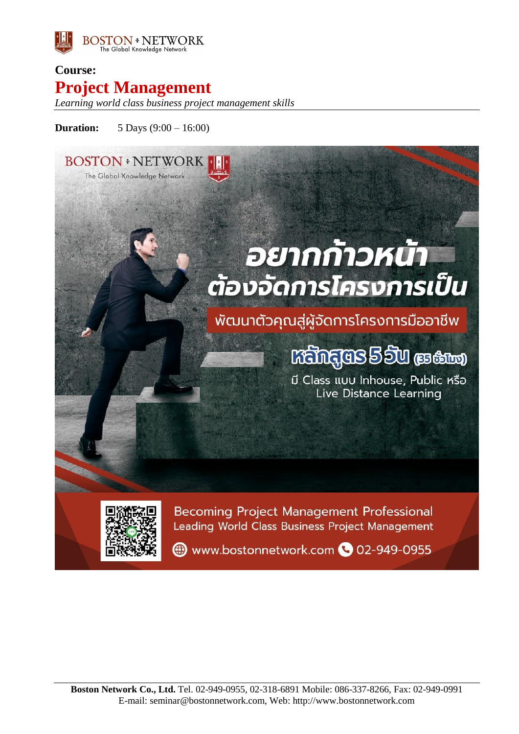

# **Course: Project Management**

*Learning world class business project management skills*

## **Duration:** 5 Days (9:00 – 16:00)

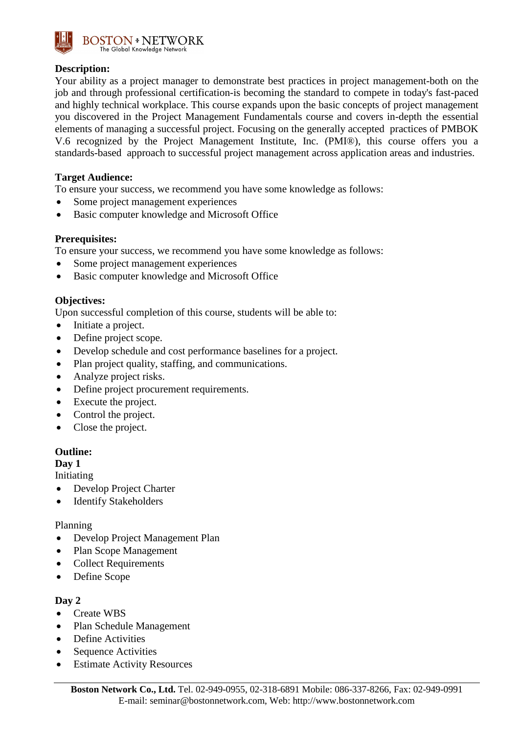

## **Description:**

Your ability as a project manager to demonstrate best practices in project management-both on the job and through professional certification-is becoming the standard to compete in today's fast-paced and highly technical workplace. This course expands upon the basic concepts of project management you discovered in the Project Management Fundamentals course and covers in-depth the essential elements of managing a successful project. Focusing on the generally accepted practices of PMBOK V.6 recognized by the Project Management Institute, Inc. (PMI®), this course offers you a standards-based approach to successful project management across application areas and industries.

## **Target Audience:**

To ensure your success, we recommend you have some knowledge as follows:

- Some project management experiences
- Basic computer knowledge and Microsoft Office

## **Prerequisites:**

To ensure your success, we recommend you have some knowledge as follows:

- Some project management experiences
- Basic computer knowledge and Microsoft Office

#### **Objectives:**

Upon successful completion of this course, students will be able to:

- Initiate a project.
- Define project scope.
- Develop schedule and cost performance baselines for a project.
- Plan project quality, staffing, and communications.
- Analyze project risks.
- Define project procurement requirements.
- Execute the project.
- Control the project.
- Close the project.

## **Outline:**

#### **Day 1**

Initiating

- Develop Project Charter
- Identify Stakeholders

#### Planning

- Develop Project Management Plan
- Plan Scope Management
- Collect Requirements
- Define Scope

## **Day 2**

- Create WBS
- Plan Schedule Management
- Define Activities
- Sequence Activities
- Estimate Activity Resources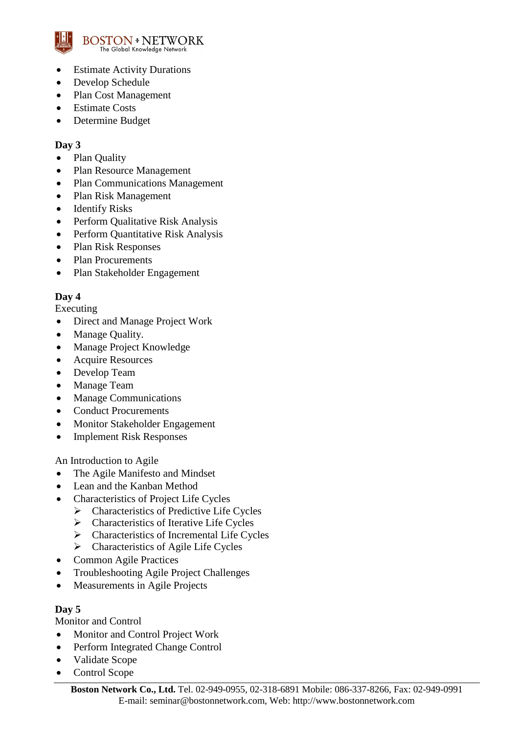

- Estimate Activity Durations
- Develop Schedule
- Plan Cost Management
- Estimate Costs
- Determine Budget

## **Day 3**

- Plan Quality
- Plan Resource Management
- Plan Communications Management
- Plan Risk Management
- Identify Risks
- Perform Qualitative Risk Analysis
- Perform Quantitative Risk Analysis
- Plan Risk Responses
- Plan Procurements
- Plan Stakeholder Engagement

## **Day 4**

Executing

- Direct and Manage Project Work
- Manage Quality.
- Manage Project Knowledge
- Acquire Resources
- Develop Team
- Manage Team
- Manage Communications
- Conduct Procurements
- Monitor Stakeholder Engagement
- Implement Risk Responses

An Introduction to Agile

- The Agile Manifesto and Mindset
- Lean and the Kanban Method
- Characteristics of Project Life Cycles
	- $\triangleright$  Characteristics of Predictive Life Cycles
	- $\triangleright$  Characteristics of Iterative Life Cycles
	- $\triangleright$  Characteristics of Incremental Life Cycles
	- $\triangleright$  Characteristics of Agile Life Cycles
- Common Agile Practices
- Troubleshooting Agile Project Challenges
- Measurements in Agile Projects

## **Day 5**

Monitor and Control

- Monitor and Control Project Work
- Perform Integrated Change Control
- Validate Scope
- Control Scope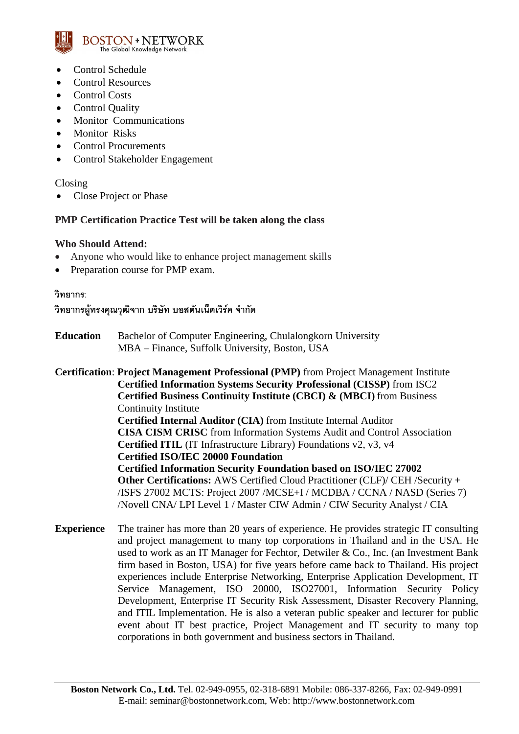

- Control Schedule
- Control Resources
- Control Costs
- Control Quality
- Monitor Communications
- Monitor Risks
- Control Procurements
- Control Stakeholder Engagement

Closing

• Close Project or Phase

## **PMP Certification Practice Test will be taken along the class**

## **Who Should Attend:**

- Anyone who would like to enhance project management skills
- Preparation course for PMP exam.

#### **วิทยากร:**

้วิทยากรผู้ทรงคุณวุฒิจาก บริษัท บอสตันเน็ตเวิร์ค จำกัด

**Education** Bachelor of Computer Engineering, Chulalongkorn University MBA – Finance, Suffolk University, Boston, USA

**Certification**: **Project Management Professional (PMP)** from Project Management Institute **Certified Information Systems Security Professional (CISSP)** from ISC2 **Certified Business Continuity Institute (CBCI) & (MBCI)** from Business Continuity Institute **Certified Internal Auditor (CIA)** from Institute Internal Auditor **CISA CISM CRISC** from Information Systems Audit and Control Association **Certified ITIL** (IT Infrastructure Library) Foundations v2, v3, v4 **Certified ISO/IEC 20000 Foundation Certified Information Security Foundation based on ISO/IEC 27002 Other Certifications:** AWS Certified Cloud Practitioner (CLF)/ CEH /Security + /ISFS 27002 MCTS: Project 2007 /MCSE+I / MCDBA / CCNA / NASD (Series 7) /Novell CNA/ LPI Level 1 / Master CIW Admin / CIW Security Analyst / CIA

**Experience** The trainer has more than 20 years of experience. He provides strategic IT consulting and project management to many top corporations in Thailand and in the USA. He used to work as an IT Manager for Fechtor, Detwiler & Co., Inc. (an Investment Bank firm based in Boston, USA) for five years before came back to Thailand. His project experiences include Enterprise Networking, Enterprise Application Development, IT Service Management, ISO 20000, ISO27001, Information Security Policy Development, Enterprise IT Security Risk Assessment, Disaster Recovery Planning, and ITIL Implementation. He is also a veteran public speaker and lecturer for public event about IT best practice, Project Management and IT security to many top corporations in both government and business sectors in Thailand.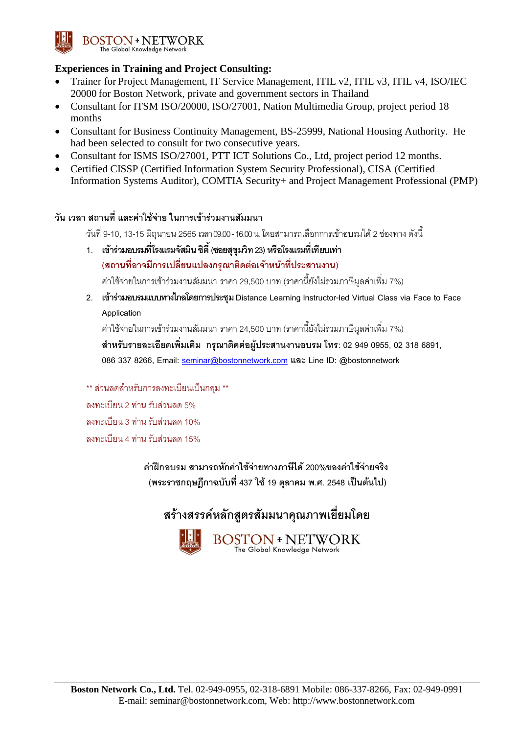

## **Experiences in Training and Project Consulting:**

- Trainer for Project Management, IT Service Management, ITIL v2, ITIL v3, ITIL v4, ISO/IEC 20000 for Boston Network, private and government sectors in Thailand
- Consultant for ITSM ISO/20000, ISO/27001, Nation Multimedia Group, project period 18 months
- Consultant for Business Continuity Management, BS-25999, National Housing Authority. He had been selected to consult for two consecutive years.
- Consultant for ISMS ISO/27001, PTT ICT Solutions Co., Ltd, project period 12 months.
- Certified CISSP (Certified Information System Security Professional), CISA (Certified Information Systems Auditor), COMTIA Security+ and Project Management Professional (PMP)

## **วัน เวลา สถานที่ และค่าใช้จ่าย ในการเข้าร่วมงานสัมมนา**

วันที่ 9-10, 13-15 มิถุนายน 2565เวลา09.00 -16.00 น. โดยสามารถเลือกการเข้าอบรมได้ 2ช่องทาง ดังนี้

- **1. เข้ารว่ มอบรมที่โรงแรมจสัมนิ ซติี้(ซอยสุขุมวทิ 23) หรอืโรงแรมที่เทียบเทา่ (สถานที่อาจมกีารเปลี่ยนแปลงกรุณาตดิตอ่ เจ้าหน้าที่ประสานงาน)** ค่าใช้จ่ายในการเข้าร่วมงานสัมมนา ราคา 29,500 บาท (ราคานี้ยังไม่รวมภาษีมูลค่าเพิ่ม 7%)
- **2. เข้าร่วมอบรมแบบทางไกลโดยการประชุม Distance LearningInstructor-led Virtual Class via Face to Face Application**

ค่าใช้จ่ายในการเข้าร่วมงานสัมมนา ราคา 24,500 บาท (ราคานี้ยังไม่รวมภาษีมูลค่าเพิ่ม 7%) **สา หรับรายละเอียดเพิ่มเติม กรุณาตดิตอ่ ผู้ประสานงานอบรม โทร: 02 949 0955, 02 318 6891,** 

**086 337 8266, Email: [seminar@bostonnetwork.com](mailto:seminar@bostonnetwork.com) และ Line ID: @bostonnetwork**

\*\* ส่วนลดสำหรับการลงทะเบียนเป็นกล่ม \*\* ลงทะเบียน 2 ท่าน รับส่วนลด 5% ลงทะเบียน 3 ท่าน รับส่วนลด 10% ลงทะเบียน 4 ท่าน รับส่วนลด 15%

> **ค่าฝึ กอบรม สามารถหักค่าใช้จ่ายทางภาษีได้200%ของค่าใช้จ่ายจริง (พระราชกฤษฎกีาฉบับที่437 ใช้19 ตุลาคม พ.ศ. 2548 เป็ นต้นไป)**

## **สร้างสรรคห์ ลักสูตรสัมมนาคุณภาพเยยี่ มโดย**



BOSTON + NETWORK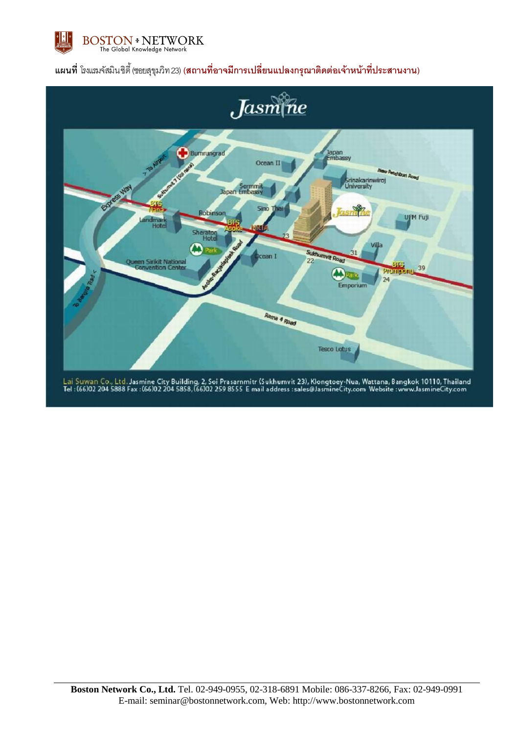

## **แผนที่** โรงแรมจัสมิน ซิตี้ (ซอยสุขุมวิท 23) **(สถานที่อาจมกีารเปลี่ยนแปลงกรุณาติดต่อเจ้าหน้าทปี่ ระสานงาน)**



Lai Suwan Co., Ltd. Jasmine City Building, 2, Soi Prasarnmitr (Sukhumvit 23), Klongtoey-Nua, Wattana, Bangkok 10110, Thailand<br>Tel : (66)02 204 5888 Fax : (66)02 204 5858, (66)02 259 8555 E mail address :sales@JasmineCity.c